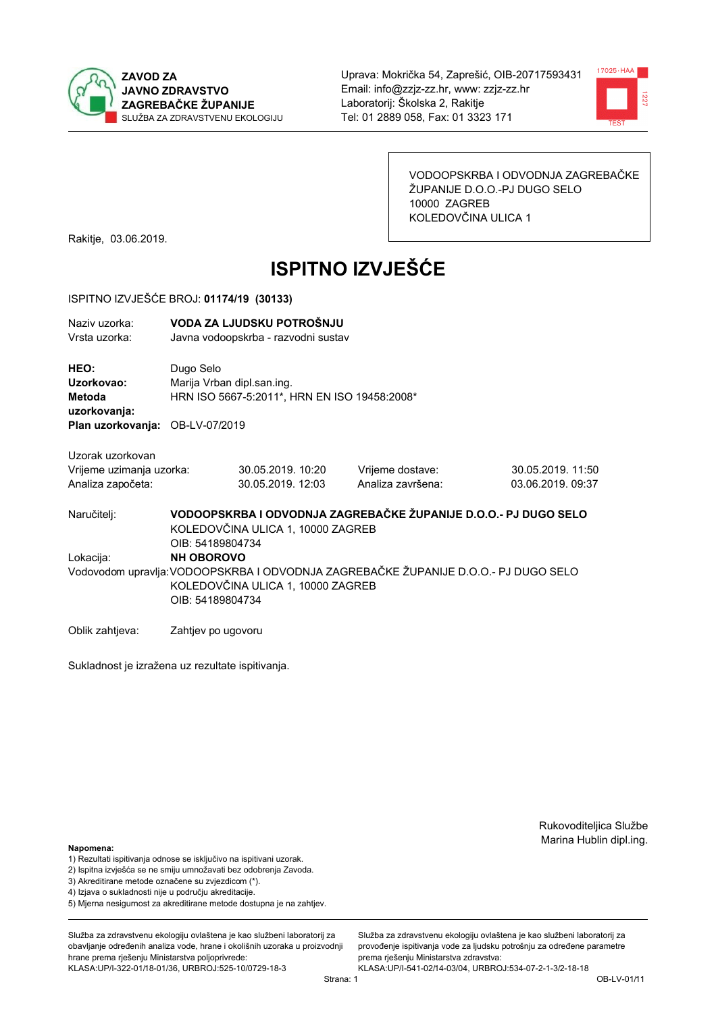



VODOOPSKRBA I ODVODNJA ZAGREBAČKE ŽUPANIJE D.O.O.-PJ DUGO SELO 10000 ZAGREB KOLEDOVČINA ULICA 1

Rakitje, 03.06.2019.

# **ISPITNO IZVJEŠĆE**

#### ISPITNO IZVJEŠĆE BROJ: 01174/19 (30133)

| Naziv uzorka: | VODA ZA LJUDSKU POTROŠNJU           |
|---------------|-------------------------------------|
| Vrsta uzorka: | Javna vodoopskrba - razvodni sustav |

HEO: Dugo Selo Uzorkovao: Mariia Vrban dipl.san.ing. Metoda HRN ISO 5667-5:2011\*, HRN EN ISO 19458:2008\* uzorkovanja: Plan uzorkovanja: OB-LV-07/2019

Uzorak uzorkovan Vrijeme uzimanja uzorka: Analiza započeta:

| :а | 30.05.2019. 10:20 |  |
|----|-------------------|--|
|    | 30.05.2019. 12:03 |  |

Vrijeme dostave: Analiza završena:

30.05.2019. 11:50 03.06.2019.09:37

VODOOPSKRBA I ODVODNJA ZAGREBAČKE ŽUPANIJE D.O.O.- PJ DUGO SELO Naručitelj: KOLEDOVČINA ULICA 1, 10000 ZAGREB OIB: 54189804734 Lokacija: **NH OBOROVO** Vodovodom upravlja: VODOOPSKRBA I ODVODNJA ZAGREBAČKE ŽUPANIJE D.O.O.- PJ DUGO SELO KOLEDOVČINA ULICA 1, 10000 ZAGREB OIB: 54189804734

Oblik zahtjeva: Zahtjev po ugovoru

Sukladnost je izražena uz rezultate ispitivanja.

Rukovoditeljica Službe Marina Hublin dipl.ing.

Napomena:

- 1) Rezultati ispitivanja odnose se isključivo na ispitivani uzorak.
- 2) Ispitna izvješća se ne smiju umnožavati bez odobrenja Zavoda.

3) Akreditirane metode označene su zvjezdicom (\*).

- 4) Iziava o sukladnosti nije u području akreditacije.
- 5) Mjerna nesigurnost za akreditirane metode dostupna je na zahtjev.

Služba za zdravstvenu ekologiju ovlaštena je kao službeni laboratorij za obavlianie određenih analiza vode, hrane i okolišnih uzoraka u proizvodniji hrane prema rješenju Ministarstva poljoprivrede: KLASA:UP/I-322-01/18-01/36, URBROJ:525-10/0729-18-3

Služba za zdravstvenu ekologiju ovlaštena je kao službeni laboratorij za provođenie ispitivania vode za liudsku potrošniu za određene parametre prema riešenju Ministarstva zdravstva: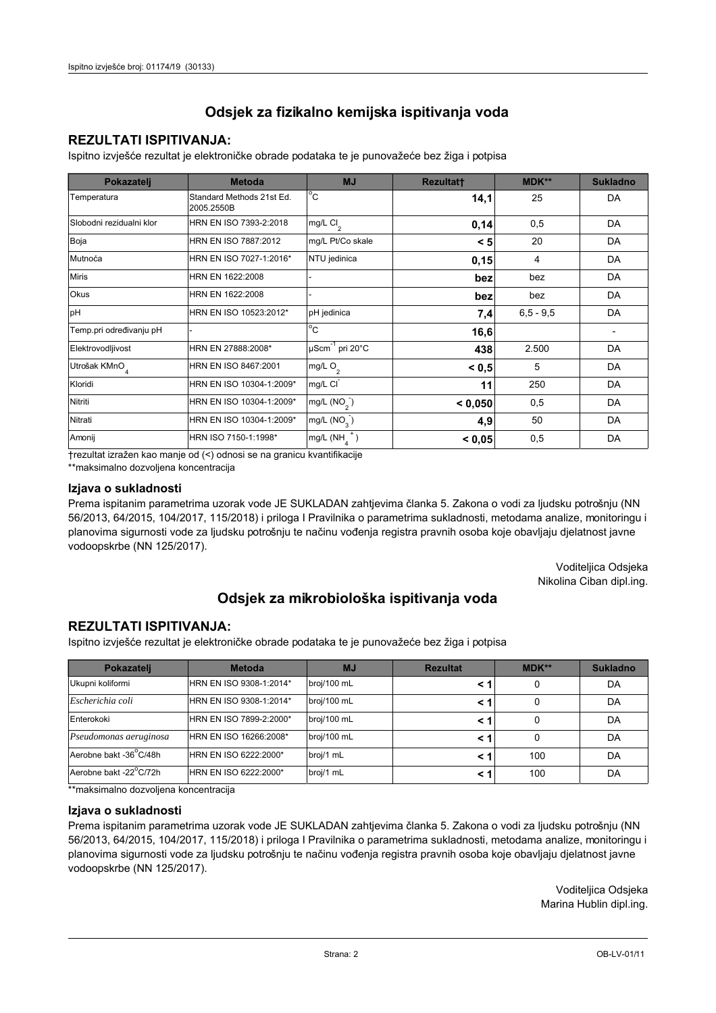## **REZULTATI ISPITIVANJA:**

Ispitno izviešće rezultat je elektroničke obrade podataka te je punovažeće bez žiga i potpisa

| Pokazatelj                | <b>Metoda</b>                           | <b>MJ</b>               | <b>Rezultatt</b> | MDK** | <b>Sukladno</b> |
|---------------------------|-----------------------------------------|-------------------------|------------------|-------|-----------------|
| Temperatura               | Standard Methods 21st Ed.<br>2005.2550B | $^{\circ}$ C            | 14,1             | 25    | DA              |
| Slobodni rezidualni klor  | HRN EN ISO 7393-2:2018                  | $mg/L$ Cl <sub>2</sub>  | 0,14             | 0,5   | DA              |
| Boja                      | HRN EN ISO 7887:2012                    | mg/L Pt/Co skale        | < 5              | 20    | DA              |
| Mutnoća                   | HRN EN ISO 7027-1:2016*                 | NTU jedinica            | 0,15             | 4     | DA              |
| <b>Miris</b>              | HRN EN 1622:2008                        |                         | bez              | bez   | DA              |
| Okus                      | HRN EN 1622:2008                        | bez                     |                  | bez   | DA              |
| pH                        | HRN EN ISO 10523:2012*                  | pH jedinica             | 7,4              |       | DA              |
| Temp.pri određivanju pH   |                                         | $^{\circ}$ C            | 16,6             |       |                 |
| Elektrovodljivost         | HRN EN 27888:2008*                      | µScm-1 pri 20°C         | 438              | 2.500 | DA              |
| Utrošak KMnO <sub>4</sub> | HRN EN ISO 8467:2001                    | mg/L O <sub>2</sub>     | < 0.5            | 5     | DA              |
| Kloridi                   | HRN EN ISO 10304-1:2009*                | mg/L CI                 | 11               | 250   | DA              |
| Nitriti                   | HRN EN ISO 10304-1:2009*                | mg/L $(NO2)$            | < 0.050          | 0,5   | DA              |
| Nitrati                   | HRN EN ISO 10304-1:2009*                | mg/L (NO <sub>3</sub> ) | 4,9              | 50    | DA              |
| Amonij                    | HRN ISO 7150-1:1998*                    | mg/L (NH                | < 0,05           | 0,5   | DA              |

trezultat izražen kao manje od (<) odnosi se na granicu kvantifikacije

\*\*maksimalno dozvoljena koncentracija

#### Izjava o sukladnosti

Prema ispitanim parametrima uzorak vode JE SUKLADAN zahtievima članka 5. Zakona o vodi za ljudsku potrošnju (NN 56/2013, 64/2015, 104/2017, 115/2018) i priloga I Pravilnika o parametrima sukladnosti, metodama analize, monitoringu i planovima sigurnosti vode za ljudsku potrošnju te načinu vođenja registra pravnih osoba koje obavljaju djelatnost javne vodoopskrbe (NN 125/2017).

> Voditeljica Odsjeka Nikolina Ciban dipl.ing.

## Odsjek za mikrobiološka ispitivanja voda

### **REZULTATI ISPITIVANJA:**

Ispitno izvješće rezultat je elektroničke obrade podataka te je punovažeće bez žiga i potpisa

| Pokazatelj             | <b>Metoda</b>           | <b>MJ</b>   | <b>Rezultat</b> | MDK** | <b>Sukladno</b> |
|------------------------|-------------------------|-------------|-----------------|-------|-----------------|
| Ukupni koliformi       | HRN EN ISO 9308-1:2014* | broj/100 mL |                 | 0     | DA              |
| Escherichia coli       | HRN EN ISO 9308-1:2014* | broj/100 mL | < '             | 0     | DA              |
| Enterokoki             | HRN EN ISO 7899-2:2000* | broj/100 mL | < '             |       | DA              |
| Pseudomonas aeruginosa | HRN EN ISO 16266:2008*  | broj/100 mL | < '             | 0     | DA              |
| Aerobne bakt -36°C/48h | HRN EN ISO 6222:2000*   | broj/1 mL   |                 | 100   | DA              |
| Aerobne bakt -22°C/72h | HRN EN ISO 6222:2000*   | broj/1 mL   | < '             | 100   | DA              |

\*\*maksimalno dozvoljena koncentracija

#### Izjava o sukladnosti

Prema ispitanim parametrima uzorak vode JE SUKLADAN zahtjevima članka 5. Zakona o vodi za ljudsku potrošnju (NN 56/2013, 64/2015, 104/2017, 115/2018) i priloga I Pravilnika o parametrima sukladnosti, metodama analize, monitoringu i planovima sigurnosti vode za ljudsku potrošnju te načinu vođenja registra pravnih osoba koje obavljaju djelatnost javne vodoopskrbe (NN 125/2017).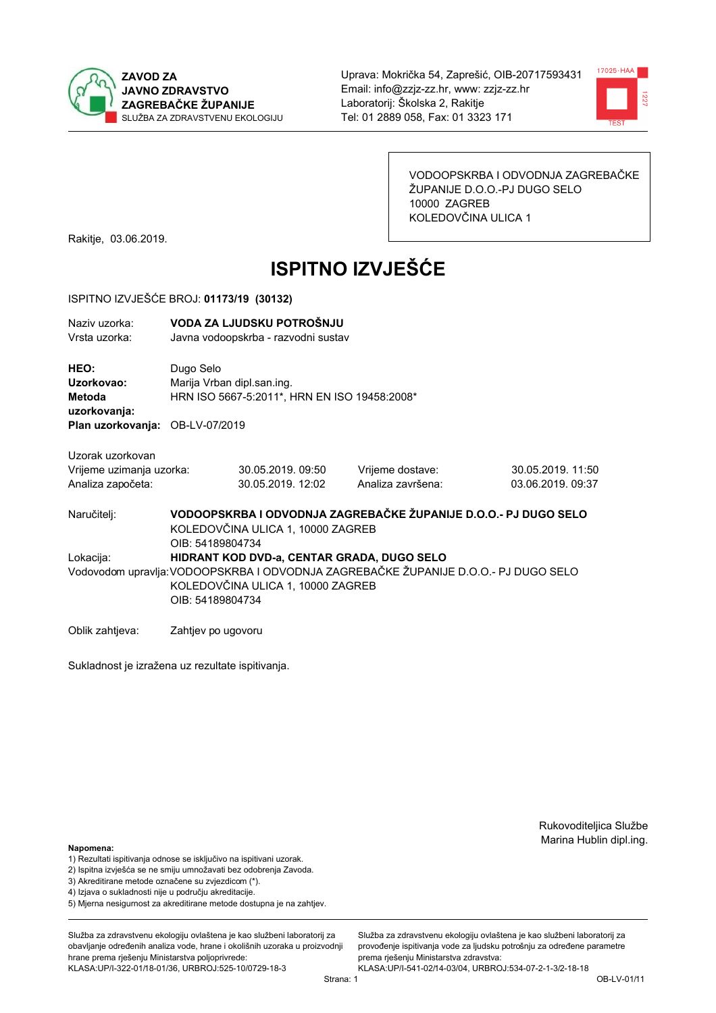



VODOOPSKRBA I ODVODNJA ZAGREBAČKE ŽUPANIJE D.O.O.-PJ DUGO SELO 10000 ZAGREB KOLEDOVČINA ULICA 1

Rakitje, 03.06.2019.

# **ISPITNO IZVJEŠĆE**

#### ISPITNO IZVJEŠĆE BROJ: 01173/19 (30132)

| Naziv uzorka: | VODA ZA LJUDSKU POTROŠNJU           |
|---------------|-------------------------------------|
| Vrsta uzorka: | Javna vodoopskrba - razvodni sustav |

HEO: Dugo Selo Uzorkovao: Mariia Vrban dipl.san.ing. Metoda HRN ISO 5667-5:2011\*, HRN EN ISO 19458:2008\* uzorkovanja: Plan uzorkovanja: OB-LV-07/2019

| Uzorak uzorkovan         |  |
|--------------------------|--|
| Vrijeme uzimanja uzorka: |  |
| Analiza započeta:        |  |

30.05.2019.09:50 30.05.2019. 12:02

Vrijeme dostave: Analiza završena:

30.05.2019. 11:50 03.06.2019.09:37

VODOOPSKRBA I ODVODNJA ZAGREBAČKE ŽUPANIJE D.O.O.- PJ DUGO SELO Naručitelj: KOLEDOVČINA ULICA 1, 10000 ZAGREB OIB: 54189804734 Lokacija: HIDRANT KOD DVD-a, CENTAR GRADA, DUGO SELO Vodovodom upravlja: VODOOPSKRBA I ODVODNJA ZAGREBAČKE ŽUPANIJE D.O.O.- PJ DUGO SELO KOLEDOVČINA ULICA 1, 10000 ZAGREB OIB: 54189804734

Oblik zahtjeva: Zahtjev po ugovoru

Sukladnost je izražena uz rezultate ispitivanja.

Rukovoditeljica Službe Marina Hublin dipl.ing.

#### Napomena:

- 1) Rezultati ispitivanja odnose se isključivo na ispitivani uzorak.
- 2) Ispitna izvješća se ne smiju umnožavati bez odobrenja Zavoda.

3) Akreditirane metode označene su zvjezdicom (\*).

- 4) Iziava o sukladnosti nije u području akreditacije.
- 5) Mjerna nesigurnost za akreditirane metode dostupna je na zahtjev.

Služba za zdravstvenu ekologiju ovlaštena je kao službeni laboratorij za obavlianie određenih analiza vode, hrane i okolišnih uzoraka u proizvodniji hrane prema rješenju Ministarstva poljoprivrede: KLASA:UP/I-322-01/18-01/36, URBROJ:525-10/0729-18-3

Služba za zdravstvenu ekologiju ovlaštena je kao službeni laboratorij za provođenie ispitivania vode za liudsku potrošniu za određene parametre prema riešenju Ministarstva zdravstva: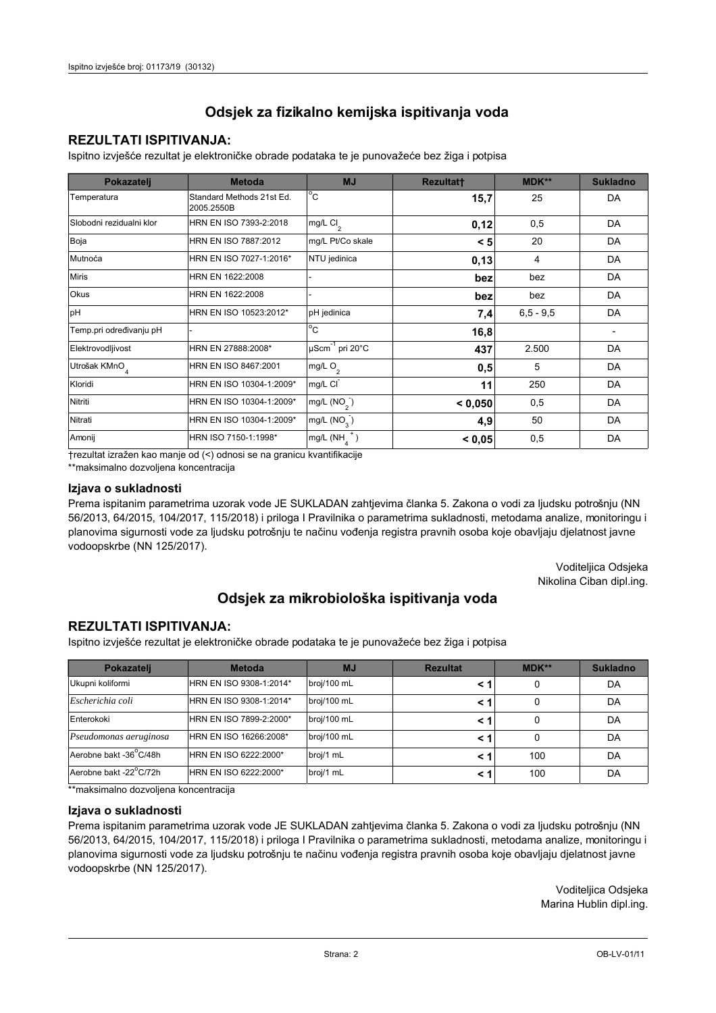## **REZULTATI ISPITIVANJA:**

Ispitno izviešće rezultat je elektroničke obrade podataka te je punovažeće bez žiga i potpisa

| Pokazatelj                | <b>Metoda</b>                           | <b>MJ</b>               | <b>Rezultatt</b> | MDK** | <b>Sukladno</b> |
|---------------------------|-----------------------------------------|-------------------------|------------------|-------|-----------------|
| Temperatura               | Standard Methods 21st Ed.<br>2005.2550B | $^{\circ}$ C            | 15,7             | 25    | DA              |
| Slobodni rezidualni klor  | HRN EN ISO 7393-2:2018                  | $mg/L$ Cl <sub>2</sub>  | 0,12             | 0,5   | DA              |
| Boja                      | HRN EN ISO 7887:2012                    | mg/L Pt/Co skale        | < 5              | 20    | DA              |
| Mutnoća                   | HRN EN ISO 7027-1:2016*                 | NTU jedinica            | 0,13             | 4     | DA              |
| <b>Miris</b>              | HRN EN 1622:2008                        |                         | bez              | bez   | DA              |
| Okus                      | HRN EN 1622:2008                        | bez                     |                  | bez   | DA              |
| pH                        | HRN EN ISO 10523:2012*                  | pH jedinica             | 7,4              |       | DA              |
| Temp.pri određivanju pH   |                                         | $^{\circ}$ C            | 16,8             |       |                 |
| Elektrovodljivost         | HRN EN 27888:2008*                      | µScm-1 pri 20°C<br>437  |                  | 2.500 | DA              |
| Utrošak KMnO <sub>4</sub> | HRN EN ISO 8467:2001                    | mg/L O <sub>2</sub>     | 0,5              | 5     | DA              |
| Kloridi                   | HRN EN ISO 10304-1:2009*                | mg/L CI                 | 11               | 250   | DA              |
| Nitriti                   | HRN EN ISO 10304-1:2009*                | mg/L $(NO2)$            | < 0.050          | 0,5   | DA              |
| Nitrati                   | HRN EN ISO 10304-1:2009*                | mg/L (NO <sub>3</sub> ) | 4,9              | 50    | DA              |
| Amonij                    | HRN ISO 7150-1:1998*                    | mg/L (NH                | < 0,05           | 0,5   | DA              |

trezultat izražen kao manje od (<) odnosi se na granicu kvantifikacije

\*\*maksimalno dozvoljena koncentracija

#### Izjava o sukladnosti

Prema ispitanim parametrima uzorak vode JE SUKLADAN zahtievima članka 5. Zakona o vodi za ljudsku potrošnju (NN 56/2013, 64/2015, 104/2017, 115/2018) i priloga I Pravilnika o parametrima sukladnosti, metodama analize, monitoringu i planovima sigurnosti vode za ljudsku potrošnju te načinu vođenja registra pravnih osoba koje obavljaju djelatnost javne vodoopskrbe (NN 125/2017).

> Voditeljica Odsjeka Nikolina Ciban dipl.ing.

## Odsjek za mikrobiološka ispitivanja voda

### **REZULTATI ISPITIVANJA:**

Ispitno izvješće rezultat je elektroničke obrade podataka te je punovažeće bez žiga i potpisa

| Pokazatelj             | <b>Metoda</b>           | <b>MJ</b>   | <b>Rezultat</b> | MDK** | <b>Sukladno</b> |
|------------------------|-------------------------|-------------|-----------------|-------|-----------------|
| Ukupni koliformi       | HRN EN ISO 9308-1:2014* | broj/100 mL |                 |       | DA              |
| Escherichia coli       | HRN EN ISO 9308-1:2014* | broj/100 mL | < 1             |       | DA              |
| Enterokoki             | HRN EN ISO 7899-2:2000* | broj/100 mL | < '             |       | DA              |
| Pseudomonas aeruginosa | HRN EN ISO 16266:2008*  | broj/100 mL | < 1             | 0     | DA              |
| Aerobne bakt -36 C/48h | HRN EN ISO 6222:2000*   | broj/1 mL   |                 | 100   | DA              |
| Aerobne bakt -22°C/72h | HRN EN ISO 6222:2000*   | broj/1 mL   | < 1             | 100   | DA              |

\*\*maksimalno dozvoljena koncentracija

#### Izjava o sukladnosti

Prema ispitanim parametrima uzorak vode JE SUKLADAN zahtjevima članka 5. Zakona o vodi za ljudsku potrošnju (NN 56/2013, 64/2015, 104/2017, 115/2018) i priloga I Pravilnika o parametrima sukladnosti, metodama analize, monitoringu i planovima sigurnosti vode za ljudsku potrošnju te načinu vođenja registra pravnih osoba koje obavljaju djelatnost javne vodoopskrbe (NN 125/2017).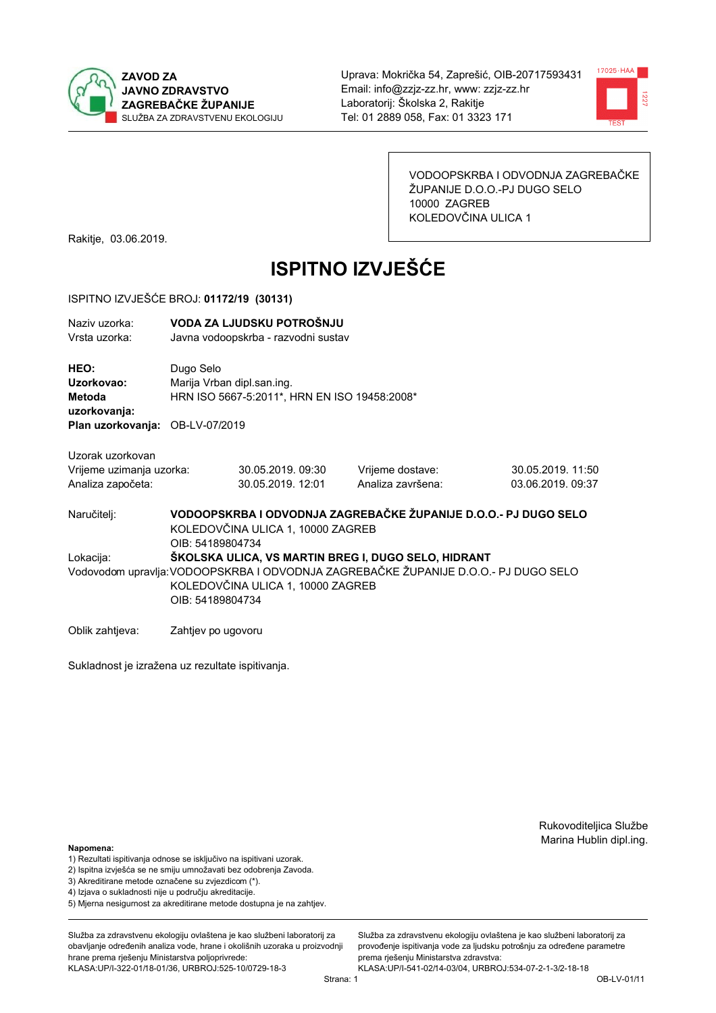



VODOOPSKRBA I ODVODNJA ZAGREBAČKE ŽUPANIJE D.O.O.-PJ DUGO SELO 10000 ZAGREB KOLEDOVČINA ULICA 1

Rakitje, 03.06.2019.

# **ISPITNO IZVJEŠĆE**

#### ISPITNO IZVJEŠĆE BROJ: 01172/19 (30131)

| Naziy uzorka:<br>Vrsta uzorka:                |                                                                                                                          | VODA ZA LJUDSKU POTROŠNJU<br>Javna vodoopskrba - razvodni sustav           |                                                                                                                                            |                                        |  |  |
|-----------------------------------------------|--------------------------------------------------------------------------------------------------------------------------|----------------------------------------------------------------------------|--------------------------------------------------------------------------------------------------------------------------------------------|----------------------------------------|--|--|
| HEO:<br>Uzorkovao:<br>Metoda<br>uzorkovanja:  | Dugo Selo                                                                                                                | Marija Vrban dipl.san.ing.<br>HRN ISO 5667-5:2011*, HRN EN ISO 19458:2008* |                                                                                                                                            |                                        |  |  |
| Plan uzorkovanja: OB-LV-07/2019               |                                                                                                                          |                                                                            |                                                                                                                                            |                                        |  |  |
| Uzorak uzorkovan                              |                                                                                                                          |                                                                            |                                                                                                                                            |                                        |  |  |
| Vrijeme uzimanja uzorka:<br>Analiza započeta: |                                                                                                                          | 30.05.2019.09:30<br>30.05.2019. 12:01                                      | Vrijeme dostave:<br>Analiza završena:                                                                                                      | 30.05.2019. 11:50<br>03.06.2019. 09:37 |  |  |
| Naručitelj:                                   | VODOOPSKRBA I ODVODNJA ZAGREBAČKE ŽUPANIJE D.O.O.- PJ DUGO SELO<br>KOLEDOVČINA ULICA 1, 10000 ZAGREB<br>OIB: 54189804734 |                                                                            |                                                                                                                                            |                                        |  |  |
| Lokacija:                                     | OIB: 54189804734                                                                                                         | KOLEDOVČINA ULICA 1, 10000 ZAGREB                                          | ŠKOLSKA ULICA, VS MARTIN BREG I, DUGO SELO, HIDRANT<br>Vodovodom upravlja: VODOOPSKRBA I ODVODNJA ZAGREBAČKE ŽUPANIJE D.O.O.- PJ DUGO SELO |                                        |  |  |
| Oblik zahtieva:                               | Zahtjev po ugovoru                                                                                                       |                                                                            |                                                                                                                                            |                                        |  |  |

Sukladnost je izražena uz rezultate ispitivanja.

Rukovoditeljica Službe Marina Hublin dipl.ing.

#### Napomena:

- 1) Rezultati ispitivanja odnose se isključivo na ispitivani uzorak.
- 2) Ispitna izvješća se ne smiju umnožavati bez odobrenja Zavoda.
- 3) Akreditirane metode označene su zvjezdicom (\*).
- 4) Iziava o sukladnosti nije u područiu akreditacije.
- 5) Mjerna nesigurnost za akreditirane metode dostupna je na zahtjev.

Služba za zdravstvenu ekologiju ovlaštena je kao službeni laboratorij za obavlianie određenih analiza vode, hrane i okolišnih uzoraka u proizvodniji hrane prema rješenju Ministarstva poljoprivrede: KLASA:UP/I-322-01/18-01/36, URBROJ:525-10/0729-18-3

Strana: 1

Služba za zdravstvenu ekologiju ovlaštena je kao službeni laboratorij za provođenie ispitivania vode za liudsku potrošniu za određene parametre prema rješenju Ministarstva zdravstva: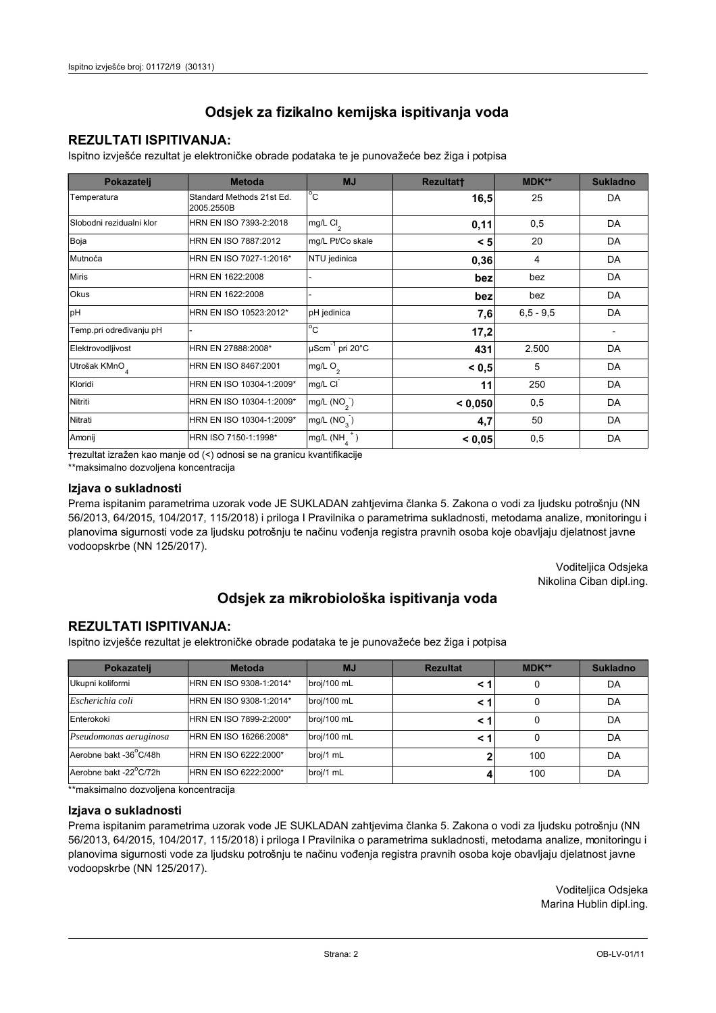## **REZULTATI ISPITIVANJA:**

Ispitno izviešće rezultat je elektroničke obrade podataka te je punovažeće bez žiga i potpisa

| Pokazatelj                | <b>Metoda</b>                           | <b>MJ</b>               | <b>Rezultatt</b> | MDK** | <b>Sukladno</b> |
|---------------------------|-----------------------------------------|-------------------------|------------------|-------|-----------------|
| Temperatura               | Standard Methods 21st Ed.<br>2005.2550B | $^{\circ}$ C            | 16,5             | 25    | DA              |
| Slobodni rezidualni klor  | HRN EN ISO 7393-2:2018                  | $mg/L$ Cl <sub>2</sub>  | 0,11             | 0,5   | DA              |
| Boja                      | HRN EN ISO 7887:2012                    | mg/L Pt/Co skale        | < 5              | 20    | DA              |
| Mutnoća                   | HRN EN ISO 7027-1:2016*                 | NTU jedinica            | 0,36             | 4     | DA              |
| <b>Miris</b>              | HRN EN 1622:2008                        |                         | bez              | bez   | DA              |
| Okus                      | HRN EN 1622:2008                        |                         |                  | bez   | DA              |
| pH                        | HRN EN ISO 10523:2012*                  | pH jedinica             | 7,6              |       | DA              |
| Temp.pri određivanju pH   |                                         | $^{\circ}$ C            | 17,2             |       |                 |
| Elektrovodljivost         | HRN EN 27888:2008*                      | µScm-1 pri 20°C<br>431  |                  | 2.500 | DA              |
| Utrošak KMnO <sub>4</sub> | HRN EN ISO 8467:2001                    | mg/L O <sub>2</sub>     | < 0.5            | 5     | DA              |
| Kloridi                   | HRN EN ISO 10304-1:2009*                | mg/L CI                 | 11               | 250   | DA              |
| Nitriti                   | HRN EN ISO 10304-1:2009*                | mg/L $(NO2)$            | < 0.050          | 0,5   | DA              |
| Nitrati                   | HRN EN ISO 10304-1:2009*                | mg/L (NO <sub>3</sub> ) | 4,7              | 50    | DA              |
| Amonij                    | HRN ISO 7150-1:1998*                    | mg/L (NH                | < 0,05           | 0,5   | DA              |

trezultat izražen kao manje od (<) odnosi se na granicu kvantifikacije

\*\*maksimalno dozvoljena koncentracija

#### Izjava o sukladnosti

Prema ispitanim parametrima uzorak vode JE SUKLADAN zahtievima članka 5. Zakona o vodi za ljudsku potrošnju (NN 56/2013, 64/2015, 104/2017, 115/2018) i priloga I Pravilnika o parametrima sukladnosti, metodama analize, monitoringu i planovima sigurnosti vode za ljudsku potrošnju te načinu vođenja registra pravnih osoba koje obavljaju djelatnost javne vodoopskrbe (NN 125/2017).

> Voditeljica Odsjeka Nikolina Ciban dipl.ing.

## Odsjek za mikrobiološka ispitivanja voda

### **REZULTATI ISPITIVANJA:**

Ispitno izvješće rezultat je elektroničke obrade podataka te je punovažeće bez žiga i potpisa

| Pokazatelj             | <b>Metoda</b>           | <b>MJ</b>   | <b>Rezultat</b> | MDK** | <b>Sukladno</b> |
|------------------------|-------------------------|-------------|-----------------|-------|-----------------|
| Ukupni koliformi       | HRN EN ISO 9308-1:2014* | broj/100 mL |                 |       | DA              |
| Escherichia coli       | HRN EN ISO 9308-1:2014* | broj/100 mL | < 1             |       | DA              |
| Enterokoki             | HRN EN ISO 7899-2:2000* | broj/100 mL | < '             |       | DA              |
| Pseudomonas aeruginosa | HRN EN ISO 16266:2008*  | broj/100 mL | < 1             | 0     | DA              |
| Aerobne bakt -36 C/48h | HRN EN ISO 6222:2000*   | broj/1 mL   |                 | 100   | DA              |
| Aerobne bakt -22°C/72h | HRN EN ISO 6222:2000*   | broj/1 mL   |                 | 100   | DA              |

\*\*maksimalno dozvoljena koncentracija

#### Izjava o sukladnosti

Prema ispitanim parametrima uzorak vode JE SUKLADAN zahtjevima članka 5. Zakona o vodi za ljudsku potrošnju (NN 56/2013, 64/2015, 104/2017, 115/2018) i priloga I Pravilnika o parametrima sukladnosti, metodama analize, monitoringu i planovima sigurnosti vode za ljudsku potrošnju te načinu vođenja registra pravnih osoba koje obavljaju djelatnost javne vodoopskrbe (NN 125/2017).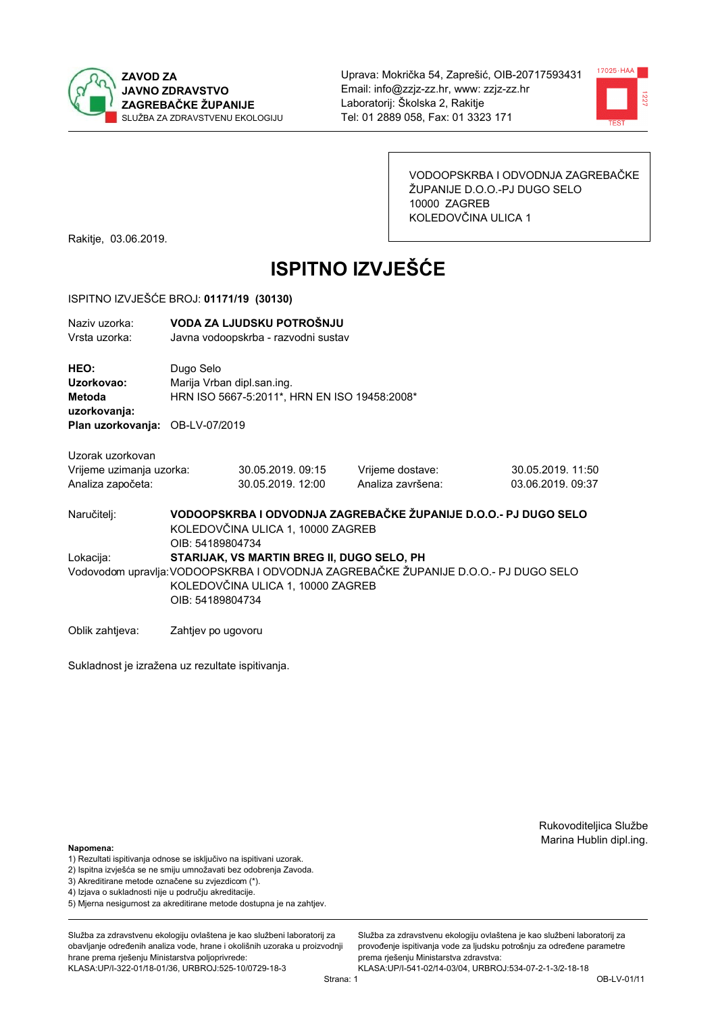



VODOOPSKRBA I ODVODNJA ZAGREBAČKE ŽUPANIJE D.O.O.-PJ DUGO SELO 10000 ZAGREB KOLEDOVČINA ULICA 1

Rakitje, 03.06.2019.

# **ISPITNO IZVJEŠĆE**

#### ISPITNO IZVJEŠĆE BROJ: 01171/19 (30130)

| Naziv uzorka:<br>Vrsta uzorka:                                    |                                                                                                                          | VODA ZA LJUDSKU POTROŠNJU<br>Javna vodoopskrba - razvodni sustav                |                                                                                    |                                        |  |
|-------------------------------------------------------------------|--------------------------------------------------------------------------------------------------------------------------|---------------------------------------------------------------------------------|------------------------------------------------------------------------------------|----------------------------------------|--|
| <b>HEO:</b><br>Uzorkovao:<br>Metoda<br>uzorkovanja:               | Dugo Selo<br>Marija Vrban dipl.san.ing.<br>HRN ISO 5667-5:2011*, HRN EN ISO 19458:2008*                                  |                                                                                 |                                                                                    |                                        |  |
| Plan uzorkovanja: OB-LV-07/2019                                   |                                                                                                                          |                                                                                 |                                                                                    |                                        |  |
| Uzorak uzorkovan<br>Vrijeme uzimanja uzorka:<br>Analiza započeta: |                                                                                                                          | 30.05.2019.09:15<br>30.05.2019. 12:00                                           | Vrijeme dostave:<br>Analiza završena:                                              | 30.05.2019. 11:50<br>03.06.2019. 09:37 |  |
| Naručitelj:                                                       | VODOOPSKRBA I ODVODNJA ZAGREBAČKE ŽUPANIJE D.O.O.- PJ DUGO SELO<br>KOLEDOVČINA ULICA 1, 10000 ZAGREB<br>OIB: 54189804734 |                                                                                 |                                                                                    |                                        |  |
| Lokacija:                                                         | OIB: 54189804734                                                                                                         | STARIJAK, VS MARTIN BREG II, DUGO SELO, PH<br>KOLEDOVČINA ULICA 1, 10000 ZAGREB | Vodovodom upravlja:VODOOPSKRBA I ODVODNJA ZAGREBAČKE ŽUPANIJE D.O.O.- PJ DUGO SELO |                                        |  |
|                                                                   |                                                                                                                          |                                                                                 |                                                                                    |                                        |  |

Oblik zahtjeva: Zahtjev po ugovoru

Sukladnost je izražena uz rezultate ispitivanja.

Rukovoditeljica Službe Marina Hublin dipl.ing.

#### Napomena:

- 1) Rezultati ispitivanja odnose se isključivo na ispitivani uzorak.
- 2) Ispitna izvješća se ne smiju umnožavati bez odobrenja Zavoda.
- 3) Akreditirane metode označene su zvjezdicom (\*).
- 4) Iziava o sukladnosti nije u područiu akreditacije.
- 5) Mjerna nesigurnost za akreditirane metode dostupna je na zahtjev.

Služba za zdravstvenu ekologiju ovlaštena je kao službeni laboratorij za obavljanje određenih analiza vode, hrane i okolišnih uzoraka u proizvodniji hrane prema rješenju Ministarstva poljoprivrede: KLASA:UP/I-322-01/18-01/36, URBROJ:525-10/0729-18-3

KLASA:UP/I-541-02/14-03/04, URBROJ:534-07-2-1-3/2-18-18 Strana: 1

prema rješenju Ministarstva zdravstva:

Služba za zdravstvenu ekologiju ovlaštena je kao službeni laboratorij za

provođenie ispitivania vode za liudsku potrošniu za određene parametre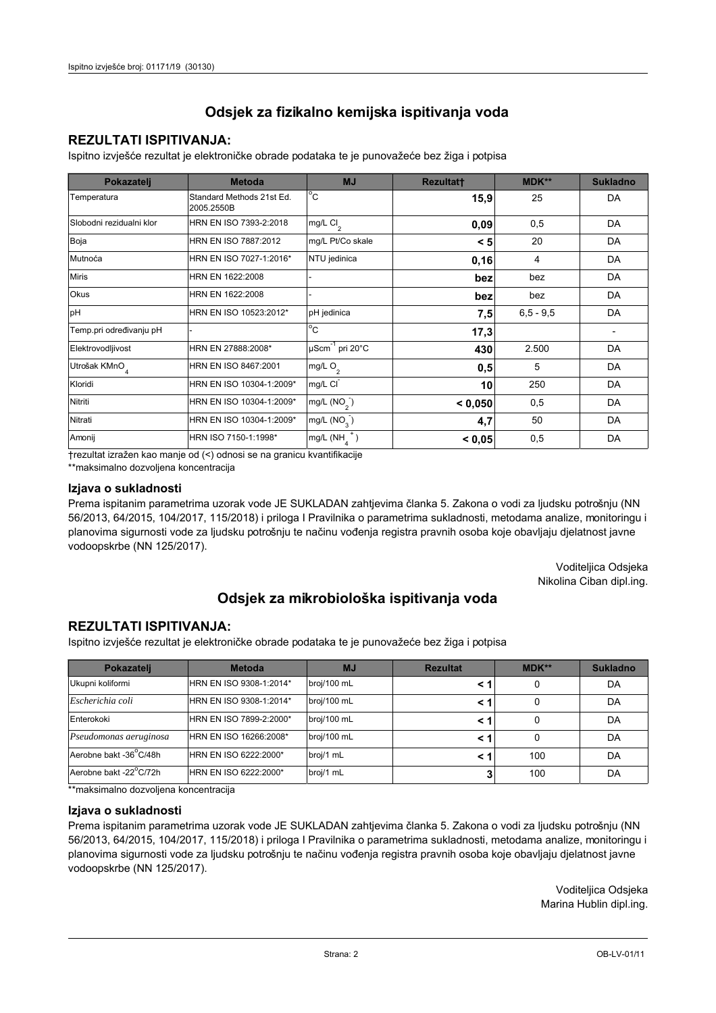## **REZULTATI ISPITIVANJA:**

Ispitno izviešće rezultat je elektroničke obrade podataka te je punovažeće bez žiga i potpisa

| Pokazatelj                | <b>Metoda</b>                           | <b>MJ</b>               | <b>Rezultatt</b> | MDK**         | <b>Sukladno</b> |
|---------------------------|-----------------------------------------|-------------------------|------------------|---------------|-----------------|
| Temperatura               | Standard Methods 21st Ed.<br>2005.2550B | $^{\circ}$ C            | 15,9             | 25            | DA              |
| Slobodni rezidualni klor  | HRN EN ISO 7393-2:2018                  | $mg/L$ Cl <sub>2</sub>  | 0,09             | 0,5           | DA              |
| Boja                      | HRN EN ISO 7887:2012                    | mg/L Pt/Co skale        | < 5              | 20            | DA              |
| Mutnoća                   | HRN EN ISO 7027-1:2016*                 | NTU jedinica            | 0,16             | 4             | DA              |
| <b>Miris</b>              | HRN EN 1622:2008                        |                         | bez              | bez           | DA              |
| Okus                      | HRN EN 1622:2008                        |                         | bez              | bez           | DA              |
| pH                        | HRN EN ISO 10523:2012*                  | pH jedinica             | 7,5              | $6, 5 - 9, 5$ | DA              |
| Temp.pri određivanju pH   |                                         | $^{\circ}$ C            | 17,3             |               |                 |
| Elektrovodljivost         | HRN EN 27888:2008*                      | µScm-1 pri 20°C         | 430              | 2.500         | DA              |
| Utrošak KMnO <sub>4</sub> | HRN EN ISO 8467:2001                    | mg/L O <sub>2</sub>     | 0,5              | 5             | DA              |
| Kloridi                   | HRN EN ISO 10304-1:2009*                | mg/L CI                 | 10               | 250           | DA              |
| Nitriti                   | HRN EN ISO 10304-1:2009*                | mg/L $(NO2)$            | < 0.050          | 0,5           | DA              |
| Nitrati                   | HRN EN ISO 10304-1:2009*                | mg/L (NO <sub>3</sub> ) | 4,7              | 50            | DA              |
| Amonij                    | HRN ISO 7150-1:1998*                    | mg/L (NH                | < 0,05           | 0,5           | DA              |

trezultat izražen kao manje od (<) odnosi se na granicu kvantifikacije

\*\*maksimalno dozvoljena koncentracija

#### Izjava o sukladnosti

Prema ispitanim parametrima uzorak vode JE SUKLADAN zahtievima članka 5. Zakona o vodi za ljudsku potrošnju (NN 56/2013, 64/2015, 104/2017, 115/2018) i priloga I Pravilnika o parametrima sukladnosti, metodama analize, monitoringu i planovima sigurnosti vode za ljudsku potrošnju te načinu vođenja registra pravnih osoba koje obavljaju djelatnost javne vodoopskrbe (NN 125/2017).

> Voditeljica Odsjeka Nikolina Ciban dipl.ing.

## Odsjek za mikrobiološka ispitivanja voda

### **REZULTATI ISPITIVANJA:**

Ispitno izvješće rezultat je elektroničke obrade podataka te je punovažeće bez žiga i potpisa

| Pokazatelj             | <b>Metoda</b>           | <b>MJ</b>   | <b>Rezultat</b> | MDK** | <b>Sukladno</b> |
|------------------------|-------------------------|-------------|-----------------|-------|-----------------|
| Ukupni koliformi       | HRN EN ISO 9308-1:2014* | broj/100 mL |                 |       | DA              |
| Escherichia coli       | HRN EN ISO 9308-1:2014* | broj/100 mL | < 1             |       | DA              |
| Enterokoki             | HRN EN ISO 7899-2:2000* | broj/100 mL | < '             |       | DA              |
| Pseudomonas aeruginosa | HRN EN ISO 16266:2008*  | broj/100 mL | < 1             | 0     | DA              |
| Aerobne bakt -36 C/48h | HRN EN ISO 6222:2000*   | broj/1 mL   |                 | 100   | DA              |
| Aerobne bakt -22°C/72h | HRN EN ISO 6222:2000*   | broj/1 mL   |                 | 100   | DA              |

\*\*maksimalno dozvoljena koncentracija

#### Izjava o sukladnosti

Prema ispitanim parametrima uzorak vode JE SUKLADAN zahtjevima članka 5. Zakona o vodi za ljudsku potrošnju (NN 56/2013, 64/2015, 104/2017, 115/2018) i priloga I Pravilnika o parametrima sukladnosti, metodama analize, monitoringu i planovima sigurnosti vode za ljudsku potrošnju te načinu vođenja registra pravnih osoba koje obavljaju djelatnost javne vodoopskrbe (NN 125/2017).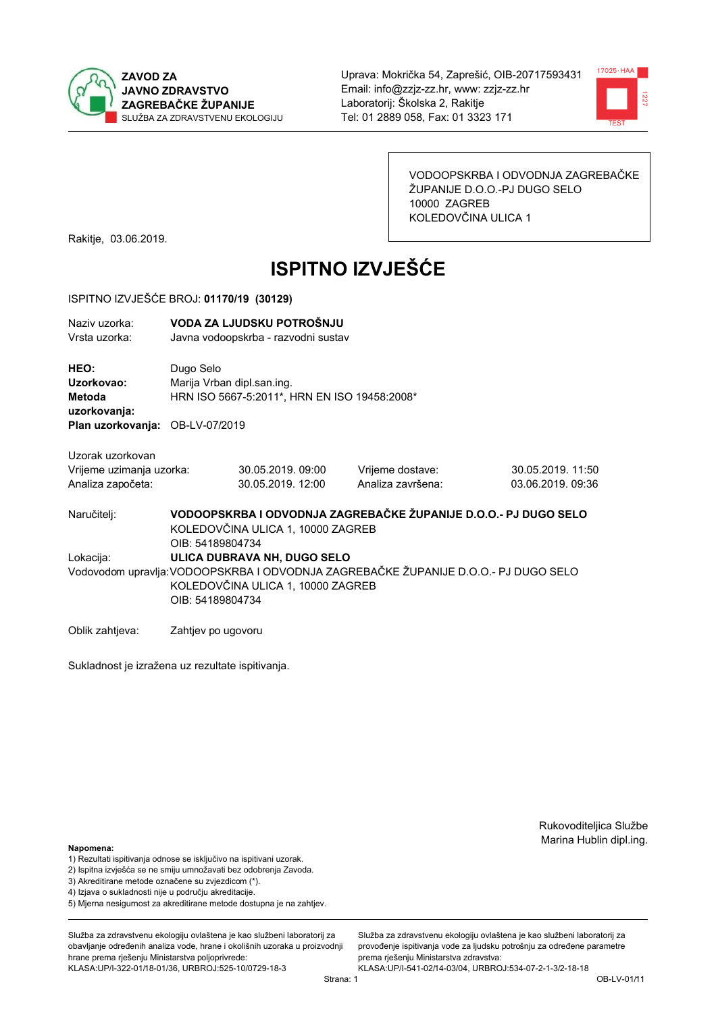



VODOOPSKRBA I ODVODNJA ZAGREBAČKE ŽUPANIJE D.O.O.-PJ DUGO SELO 10000 ZAGREB KOLEDOVČINA ULICA 1

Rakitje, 03.06.2019.

# **ISPITNO IZVJEŠĆE**

#### ISPITNO IZVJEŠĆE BROJ: 01170/19 (30129)

| VODA ZA LJUDSKU POTROŠNJU<br>Naziv uzorka:<br>Vrsta uzorka:<br>Javna vodoopskrba - razvodni sustav<br>Dugo Selo<br><b>HEO:</b><br>Uzorkovao:<br>Marija Vrban dipl.san.ing.<br>HRN ISO 5667-5:2011*, HRN EN ISO 19458:2008*<br>Metoda<br>uzorkovanja:<br><b>Plan uzorkovanja: OB-LV-07/2019</b><br>Uzorak uzorkovan<br>Vrijeme uzimanja uzorka:<br>Vrijeme dostave:<br>30.05.2019.09:00<br>Analiza započeta:<br>30.05.2019. 12:00<br>Analiza završena:<br>VODOOPSKRBA I ODVODNJA ZAGREBAČKE ŽUPANIJE D.O.O.- PJ DUGO SELO<br>Naručitelj:<br>KOLEDOVČINA ULICA 1, 10000 ZAGREB<br>OIB: 54189804734<br>ULICA DUBRAVA NH, DUGO SELO<br>Lokacija:<br>Vodovodom upravlja:VODOOPSKRBA I ODVODNJA ZAGREBAČKE ŽUPANIJE D.O.O.- PJ DUGO SELO<br>KOLEDOVČINA ULICA 1, 10000 ZAGREB<br>OIB: 54189804734 |  |  |  |                                        |  |  |
|---------------------------------------------------------------------------------------------------------------------------------------------------------------------------------------------------------------------------------------------------------------------------------------------------------------------------------------------------------------------------------------------------------------------------------------------------------------------------------------------------------------------------------------------------------------------------------------------------------------------------------------------------------------------------------------------------------------------------------------------------------------------------------------------|--|--|--|----------------------------------------|--|--|
|                                                                                                                                                                                                                                                                                                                                                                                                                                                                                                                                                                                                                                                                                                                                                                                             |  |  |  |                                        |  |  |
|                                                                                                                                                                                                                                                                                                                                                                                                                                                                                                                                                                                                                                                                                                                                                                                             |  |  |  |                                        |  |  |
|                                                                                                                                                                                                                                                                                                                                                                                                                                                                                                                                                                                                                                                                                                                                                                                             |  |  |  |                                        |  |  |
|                                                                                                                                                                                                                                                                                                                                                                                                                                                                                                                                                                                                                                                                                                                                                                                             |  |  |  | 30.05.2019. 11:50<br>03.06.2019. 09:36 |  |  |
|                                                                                                                                                                                                                                                                                                                                                                                                                                                                                                                                                                                                                                                                                                                                                                                             |  |  |  |                                        |  |  |

Oblik zahtjeva: Zahtjev po ugovoru

Sukladnost je izražena uz rezultate ispitivanja.

Rukovoditeljica Službe Marina Hublin dipl.ing.

#### Napomena:

- 1) Rezultati ispitivanja odnose se isključivo na ispitivani uzorak.
- 2) Ispitna izvješća se ne smiju umnožavati bez odobrenja Zavoda.

3) Akreditirane metode označene su zvjezdicom (\*).

- 4) Iziava o sukladnosti nije u područiu akreditacije.
- 5) Mjerna nesigurnost za akreditirane metode dostupna je na zahtjev.

Služba za zdravstvenu ekologiju ovlaštena je kao službeni laboratorij za obavljanje određenih analiza vode, hrane i okolišnih uzoraka u proizvodniji hrane prema rješenju Ministarstva poljoprivrede: KLASA:UP/I-322-01/18-01/36, URBROJ:525-10/0729-18-3

Služba za zdravstvenu ekologiju ovlaštena je kao službeni laboratorij za provođenie ispitivania vode za liudsku potrošniu za određene parametre prema rješenju Ministarstva zdravstva: KLASA:UP/I-541-02/14-03/04, URBROJ:534-07-2-1-3/2-18-18

Strana: 1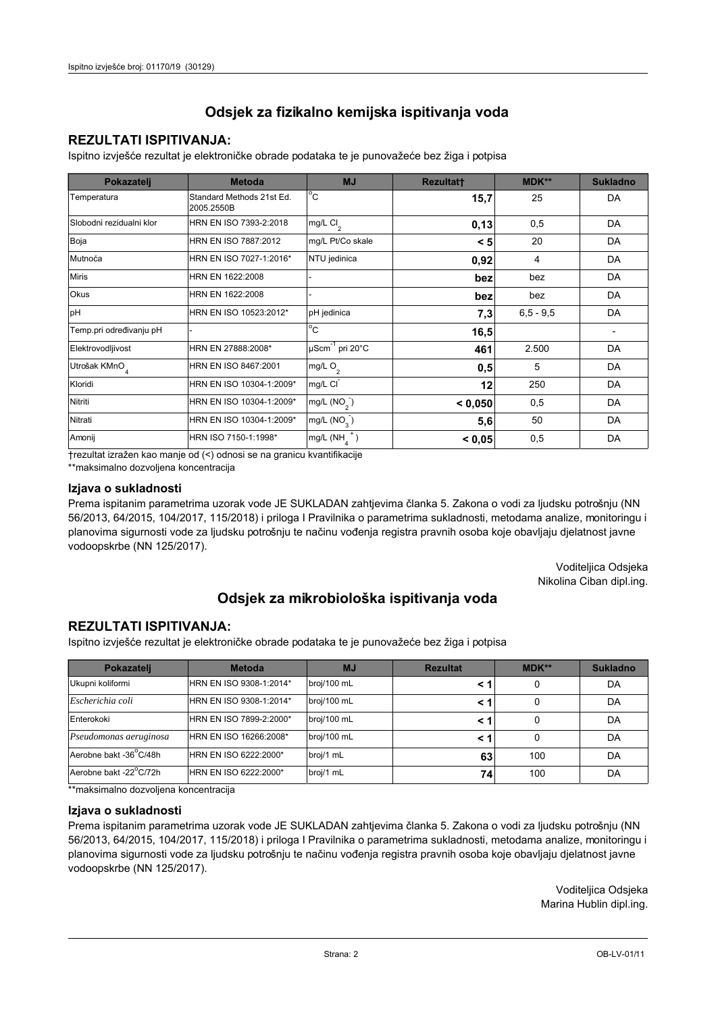## **REZULTATI ISPITIVANJA:**

Ispitno izviešće rezultat je elektroničke obrade podataka te je punovažeće bez žiga i potpisa

| Pokazatelj                | <b>Metoda</b>                           | <b>MJ</b>                   | <b>Rezultatt</b> | MDK**         | <b>Sukladno</b> |
|---------------------------|-----------------------------------------|-----------------------------|------------------|---------------|-----------------|
| Temperatura               | Standard Methods 21st Ed.<br>2005.2550B | $^{\circ}$ C                | 15,7             | 25            | DA              |
| Slobodni rezidualni klor  | HRN EN ISO 7393-2:2018                  | mg/L Cl <sub>2</sub>        | 0,13             | 0,5           | DA              |
| Boja                      | HRN EN ISO 7887:2012                    | mg/L Pt/Co skale            | < 5              | 20            | DA              |
| Mutnoća                   | HRN EN ISO 7027-1:2016*                 | NTU jedinica                | 0,92             | 4             | DA              |
| <b>Miris</b>              | HRN EN 1622:2008                        |                             | bez              | bez           | DA              |
| <b>Okus</b>               | HRN EN 1622:2008                        |                             | bez              | bez           | DA              |
| pH                        | HRN EN ISO 10523:2012*                  | pH jedinica                 | 7,3              | $6, 5 - 9, 5$ | DA              |
| Temp.pri određivanju pH   |                                         | $\overline{C}$              | 16,5             |               |                 |
| Elektrovodljivost         | HRN EN 27888:2008*                      | µScm <sup>-1</sup> pri 20°C | 461              | 2.500         | DA              |
| Utrošak KMnO <sub>4</sub> | HRN EN ISO 8467:2001                    | mg/L O <sub>2</sub>         | 0,5              | 5             | DA              |
| Kloridi                   | HRN EN ISO 10304-1:2009*                | mg/L CI                     | 12               | 250           | DA              |
| Nitriti                   | HRN EN ISO 10304-1:2009*                | mg/L $(NO2)$                | < 0,050          | 0,5           | DA              |
| Nitrati                   | HRN EN ISO 10304-1:2009*                | mg/L (NO <sub>3</sub> )     | 5,6              | 50            | DA              |
| Amonij                    | HRN ISO 7150-1:1998*                    | mg/L (NH                    | < 0,05           | 0,5           | DA              |

trezultat izražen kao manje od (<) odnosi se na granicu kvantifikacije

\*\*maksimalno dozvoljena koncentracija

#### Izjava o sukladnosti

Prema ispitanim parametrima uzorak vode JE SUKLADAN zahtievima članka 5. Zakona o vodi za ljudsku potrošnju (NN 56/2013, 64/2015, 104/2017, 115/2018) i priloga I Pravilnika o parametrima sukladnosti, metodama analize, monitoringu i planovima sigurnosti vode za ljudsku potrošnju te načinu vođenja registra pravnih osoba koje obavljaju djelatnost javne vodoopskrbe (NN 125/2017).

> Voditeljica Odsjeka Nikolina Ciban dipl.ing.

## Odsjek za mikrobiološka ispitivanja voda

### **REZULTATI ISPITIVANJA:**

Ispitno izvješće rezultat je elektroničke obrade podataka te je punovažeće bez žiga i potpisa

| Pokazatelj             | <b>Metoda</b>           | <b>MJ</b>   | <b>Rezultat</b> | MDK** | <b>Sukladno</b> |
|------------------------|-------------------------|-------------|-----------------|-------|-----------------|
| Ukupni koliformi       | HRN EN ISO 9308-1:2014* | broj/100 mL |                 | 0     | DA              |
| Escherichia coli       | HRN EN ISO 9308-1:2014* | broj/100 mL | < 1             |       | DA              |
| Enterokoki             | HRN EN ISO 7899-2:2000* | broj/100 mL | < '             |       | DA              |
| Pseudomonas aeruginosa | HRN EN ISO 16266:2008*  | broj/100 mL | < 1             | 0     | DA              |
| Aerobne bakt -36 C/48h | HRN EN ISO 6222:2000*   | broj/1 mL   | 63              | 100   | DA              |
| Aerobne bakt -22°C/72h | HRN EN ISO 6222:2000*   | broj/1 mL   | 74              | 100   | DA              |

\*\*maksimalno dozvoljena koncentracija

#### Izjava o sukladnosti

Prema ispitanim parametrima uzorak vode JE SUKLADAN zahtjevima članka 5. Zakona o vodi za ljudsku potrošnju (NN 56/2013, 64/2015, 104/2017, 115/2018) i priloga I Pravilnika o parametrima sukladnosti, metodama analize, monitoringu i planovima sigurnosti vode za ljudsku potrošnju te načinu vođenja registra pravnih osoba koje obavljaju djelatnost javne vodoopskrbe (NN 125/2017).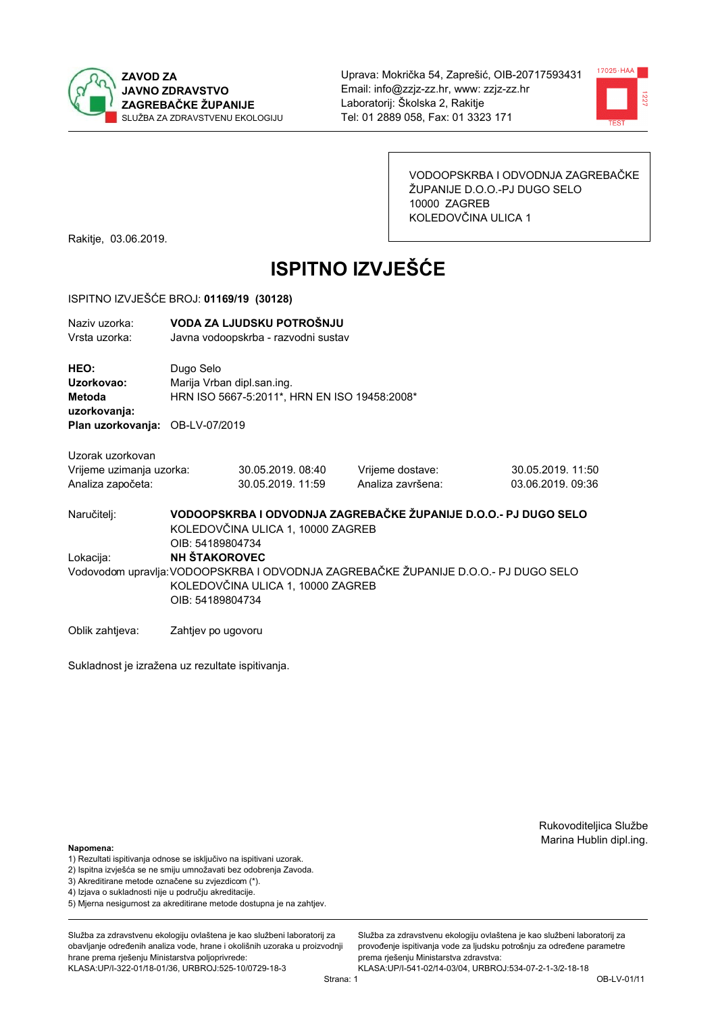



VODOOPSKRBA I ODVODNJA ZAGREBAČKE ŽUPANIJE D.O.O.-PJ DUGO SELO 10000 ZAGREB KOLEDOVČINA ULICA 1

Rakitje, 03.06.2019.

# **ISPITNO IZVJEŠĆE**

#### ISPITNO IZVJEŠĆE BROJ: 01169/19 (30128)

| Naziv uzorka:<br>Vrsta uzorka:               |                      | VODA ZA LJUDSKU POTROŠNJU<br>Javna vodoopskrba - razvodni sustav                                                         |                   |                                                                 |  |
|----------------------------------------------|----------------------|--------------------------------------------------------------------------------------------------------------------------|-------------------|-----------------------------------------------------------------|--|
| HEO:<br>Uzorkovao:<br>Metoda<br>uzorkovanja: | Dugo Selo            | Marija Vrban dipl.san.ing.<br>HRN ISO 5667-5:2011*, HRN EN ISO 19458:2008*                                               |                   |                                                                 |  |
| Plan uzorkovanja: OB-LV-07/2019              |                      |                                                                                                                          |                   |                                                                 |  |
| Uzorak uzorkovan                             |                      |                                                                                                                          |                   |                                                                 |  |
| Vrijeme uzimanja uzorka:                     |                      | 30.05.2019.08:40                                                                                                         | Vrijeme dostave:  | 30.05.2019. 11:50                                               |  |
| Analiza započeta:                            |                      | 30.05.2019. 11:59                                                                                                        | Analiza završena: | 03.06.2019. 09:36                                               |  |
| Naručitelj:                                  | OIB: 54189804734     | KOLEDOVČINA ULICA 1, 10000 ZAGREB                                                                                        |                   | VODOOPSKRBA I ODVODNJA ZAGREBAČKE ŽUPANIJE D.O.O.- PJ DUGO SELO |  |
| Lokacija:                                    | <b>NH ŠTAKOROVEC</b> |                                                                                                                          |                   |                                                                 |  |
|                                              | OIB: 54189804734     | Vodovodom upravlja: VODOOPSKRBA I ODVODNJA ZAGREBAČKE ŽUPANIJE D.O.O.- PJ DUGO SELO<br>KOLEDOVČINA ULICA 1, 10000 ZAGREB |                   |                                                                 |  |
| Oblik zahtjeva:                              | Zahtjev po ugovoru   |                                                                                                                          |                   |                                                                 |  |

Sukladnost je izražena uz rezultate ispitivanja.

Rukovoditeljica Službe Marina Hublin dipl.ing.

#### Napomena:

- 1) Rezultati ispitivanja odnose se isključivo na ispitivani uzorak.
- 2) Ispitna izvješća se ne smiju umnožavati bez odobrenja Zavoda.

3) Akreditirane metode označene su zvjezdicom (\*).

- 4) Iziava o sukladnosti nije u područiu akreditacije.
- 5) Mjerna nesigurnost za akreditirane metode dostupna je na zahtjev.

Služba za zdravstvenu ekologiju ovlaštena je kao službeni laboratorij za obavlianie određenih analiza vode, hrane i okolišnih uzoraka u proizvodniji hrane prema rješenju Ministarstva poljoprivrede: KLASA:UP/I-322-01/18-01/36, URBROJ:525-10/0729-18-3

Strana: 1

Služba za zdravstvenu ekologiju ovlaštena je kao službeni laboratorij za provođenje ispitivanja vode za ljudsku potrošnju za određene parametre prema rješenju Ministarstva zdravstva: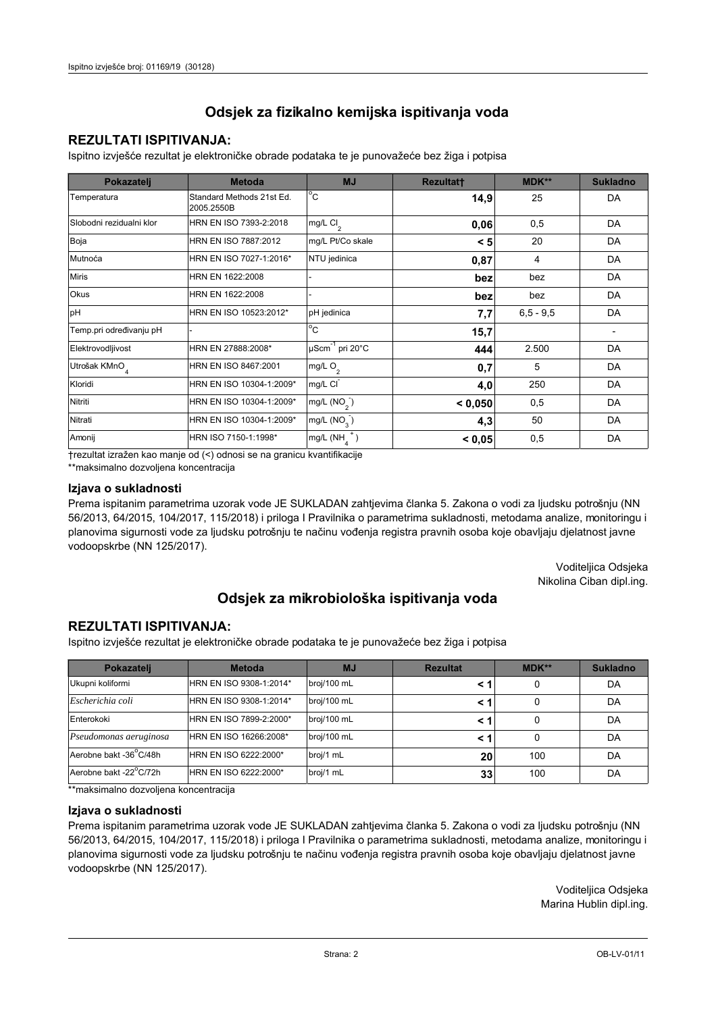## **REZULTATI ISPITIVANJA:**

Ispitno izviešće rezultat je elektroničke obrade podataka te je punovažeće bez žiga i potpisa

| Pokazatelj                | <b>Metoda</b>                           | <b>MJ</b>               | <b>Rezultatt</b> | MDK**         | <b>Sukladno</b> |
|---------------------------|-----------------------------------------|-------------------------|------------------|---------------|-----------------|
| Temperatura               | Standard Methods 21st Ed.<br>2005.2550B | $^{\circ}$ C            | 14,9             | 25            | DA              |
| Slobodni rezidualni klor  | HRN EN ISO 7393-2:2018                  | mg/L $Cl2$              | 0,06             | 0,5           | DA              |
| Boja                      | HRN EN ISO 7887:2012                    | mg/L Pt/Co skale        | < 5              | 20            | DA              |
| Mutnoća                   | HRN EN ISO 7027-1:2016*                 | NTU jedinica            | 0,87             | 4             | DA              |
| <b>Miris</b>              | HRN EN 1622:2008                        |                         | bez              | bez           | DA              |
| Okus                      | HRN EN 1622:2008                        |                         | bez              | bez           | DA              |
| pH                        | HRN EN ISO 10523:2012*                  | pH jedinica             | 7,7              | $6, 5 - 9, 5$ | DA              |
| Temp.pri određivanju pH   |                                         | $^{\circ}$ C            | 15,7             |               |                 |
| Elektrovodljivost         | HRN EN 27888:2008*                      | µScm-1 pri 20°C         | 444              | 2.500         | DA              |
| Utrošak KMnO <sub>4</sub> | HRN EN ISO 8467:2001                    | mg/L O <sub>2</sub>     | 0,7              | 5             | DA              |
| Kloridi                   | HRN EN ISO 10304-1:2009*                | mg/L CI                 | 4,0              | 250           | DA              |
| Nitriti                   | HRN EN ISO 10304-1:2009*                | mg/L $(NO2)$            | < 0.050          | 0,5           | DA              |
| Nitrati                   | HRN EN ISO 10304-1:2009*                | mg/L (NO <sub>3</sub> ) | 4,3              | 50            | DA              |
| Amonij                    | HRN ISO 7150-1:1998*                    | mg/L (NH                | < 0,05           | 0,5           | DA              |

trezultat izražen kao manje od (<) odnosi se na granicu kvantifikacije

\*\*maksimalno dozvoljena koncentracija

#### Izjava o sukladnosti

Prema ispitanim parametrima uzorak vode JE SUKLADAN zahtievima članka 5. Zakona o vodi za ljudsku potrošnju (NN 56/2013, 64/2015, 104/2017, 115/2018) i priloga I Pravilnika o parametrima sukladnosti, metodama analize, monitoringu i planovima sigurnosti vode za ljudsku potrošnju te načinu vođenja registra pravnih osoba koje obavljaju djelatnost javne vodoopskrbe (NN 125/2017).

> Voditeljica Odsjeka Nikolina Ciban dipl.ing.

## Odsjek za mikrobiološka ispitivanja voda

### **REZULTATI ISPITIVANJA:**

Ispitno izvješće rezultat je elektroničke obrade podataka te je punovažeće bez žiga i potpisa

| Pokazatelj             | <b>Metoda</b>           | <b>MJ</b>   | <b>Rezultat</b> | MDK** | <b>Sukladno</b> |
|------------------------|-------------------------|-------------|-----------------|-------|-----------------|
| Ukupni koliformi       | HRN EN ISO 9308-1:2014* | broj/100 mL |                 | 0     | DA              |
| Escherichia coli       | HRN EN ISO 9308-1:2014* | broj/100 mL | < 1             |       | DA              |
| Enterokoki             | HRN EN ISO 7899-2:2000* | broj/100 mL | < '             |       | DA              |
| Pseudomonas aeruginosa | HRN EN ISO 16266:2008*  | broj/100 mL | < 1             | 0     | DA              |
| Aerobne bakt -36 C/48h | HRN EN ISO 6222:2000*   | broj/1 mL   | 20              | 100   | DA              |
| Aerobne bakt -22°C/72h | HRN EN ISO 6222:2000*   | broj/1 mL   | 33 <sub>1</sub> | 100   | DA              |

\*\*maksimalno dozvoljena koncentracija

#### Izjava o sukladnosti

Prema ispitanim parametrima uzorak vode JE SUKLADAN zahtjevima članka 5. Zakona o vodi za ljudsku potrošnju (NN 56/2013, 64/2015, 104/2017, 115/2018) i priloga I Pravilnika o parametrima sukladnosti, metodama analize, monitoringu i planovima sigurnosti vode za ljudsku potrošnju te načinu vođenja registra pravnih osoba koje obavljaju djelatnost javne vodoopskrbe (NN 125/2017).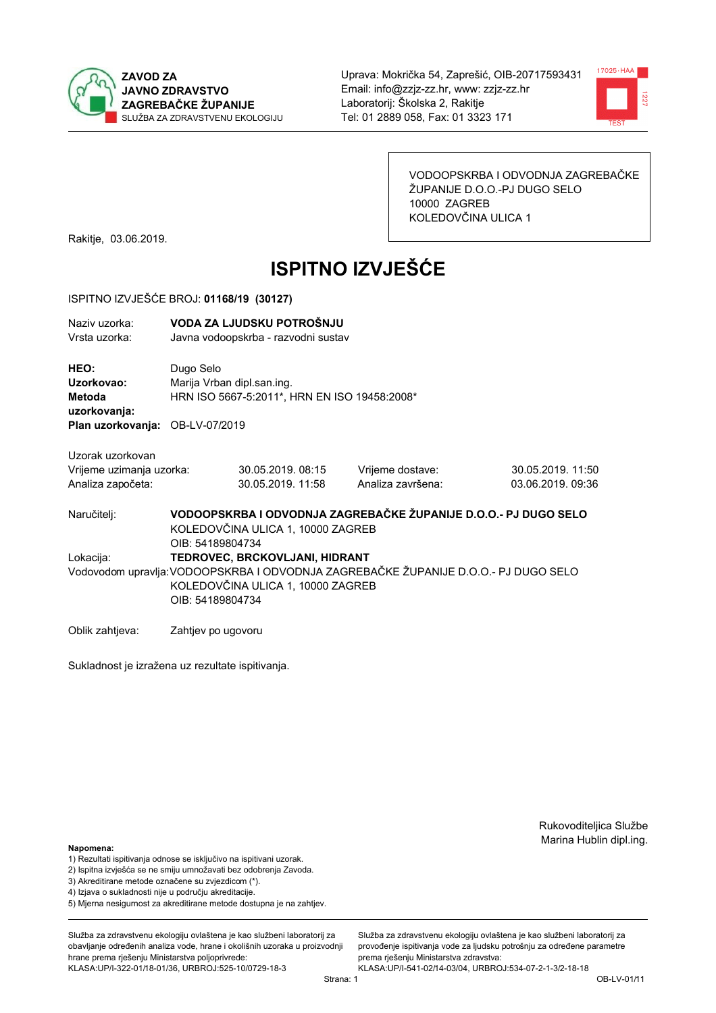



VODOOPSKRBA I ODVODNJA ZAGREBAČKE ŽUPANIJE D.O.O.-PJ DUGO SELO 10000 ZAGREB KOLEDOVČINA ULICA 1

Rakitje, 03.06.2019.

# **ISPITNO IZVJEŠĆE**

#### ISPITNO IZVJEŠĆE BROJ: 01168/19 (30127)

| Naziv uzorka:<br>Vrsta uzorka:                                    |                                                                                                                          | VODA ZA LJUDSKU POTROŠNJU<br>Javna vodoopskrba - razvodni sustav           |                                                                                     |                                       |  |  |
|-------------------------------------------------------------------|--------------------------------------------------------------------------------------------------------------------------|----------------------------------------------------------------------------|-------------------------------------------------------------------------------------|---------------------------------------|--|--|
| HEO:<br>Uzorkovao:<br><b>Metoda</b><br>uzorkovanja:               | Dugo Selo                                                                                                                | Marija Vrban dipl.san.ing.<br>HRN ISO 5667-5:2011*, HRN EN ISO 19458:2008* |                                                                                     |                                       |  |  |
| Plan uzorkovanja: OB-LV-07/2019                                   |                                                                                                                          |                                                                            |                                                                                     |                                       |  |  |
| Uzorak uzorkovan<br>Vrijeme uzimanja uzorka:<br>Analiza započeta: |                                                                                                                          | 30.05.2019, 08:15<br>30.05.2019. 11:58                                     | Vrijeme dostave:<br>Analiza završena:                                               | 30.05.2019. 11:50<br>03.06.2019.09:36 |  |  |
| Naručitelj:                                                       | VODOOPSKRBA I ODVODNJA ZAGREBAČKE ŽUPANIJE D.O.O.- PJ DUGO SELO<br>KOLEDOVČINA ULICA 1, 10000 ZAGREB<br>OIB: 54189804734 |                                                                            |                                                                                     |                                       |  |  |
| Lokacija:                                                         | OIB: 54189804734                                                                                                         | TEDROVEC, BRCKOVLJANI, HIDRANT<br>KOLEDOVČINA ULICA 1, 10000 ZAGREB        | Vodovodom upravlja: VODOOPSKRBA I ODVODNJA ZAGREBAČKE ŽUPANIJE D.O.O.- PJ DUGO SELO |                                       |  |  |

Oblik zahtjeva: Zahtjev po ugovoru

Sukladnost je izražena uz rezultate ispitivanja.

Rukovoditeljica Službe Marina Hublin dipl.ing.

#### Napomena:

- 1) Rezultati ispitivanja odnose se isključivo na ispitivani uzorak.
- 2) Ispitna izvješća se ne smiju umnožavati bez odobrenja Zavoda.

3) Akreditirane metode označene su zvjezdicom (\*).

- 4) Iziava o sukladnosti nije u područiu akreditacije.
- 5) Mjerna nesigurnost za akreditirane metode dostupna je na zahtjev.

Služba za zdravstvenu ekologiju ovlaštena je kao službeni laboratorij za obavljanje određenih analiza vode, hrane i okolišnih uzoraka u proizvodniji hrane prema rješenju Ministarstva poljoprivrede: KLASA:UP/I-322-01/18-01/36, URBROJ:525-10/0729-18-3

Strana: 1

Služba za zdravstvenu ekologiju ovlaštena je kao službeni laboratorij za provođenie ispitivania vode za liudsku potrošniu za određene parametre prema rješenju Ministarstva zdravstva: